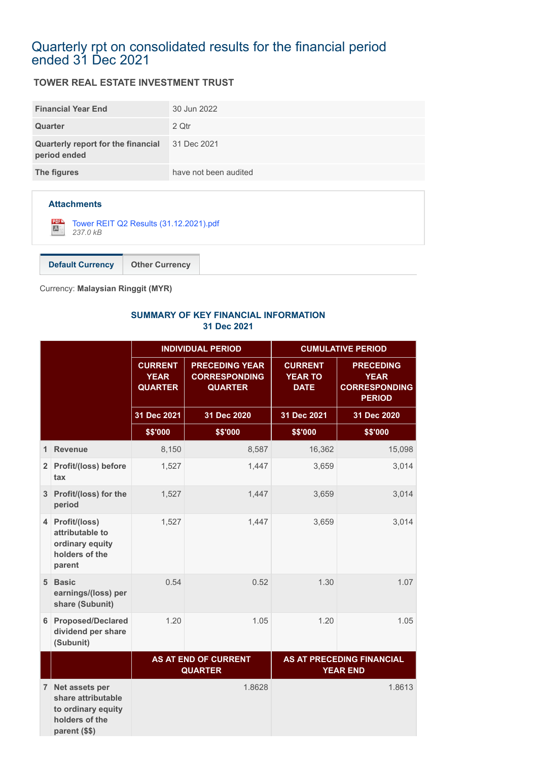### Quarterly rpt on consolidated results for the financial period ended 31 Dec 2021

#### **TOWER REAL ESTATE INVESTMENT TRUST**

| <b>Financial Year End</b>                          | 30 Jun 2022           |
|----------------------------------------------------|-----------------------|
| Quarter                                            | 2 Qtr                 |
| Quarterly report for the financial<br>period ended | 31 Dec 2021           |
| The figures                                        | have not been audited |

#### **Attachments**

[Tower REIT Q2 Results \(31.12.2021\).pdf](https://disclosure.bursamalaysia.com/FileAccess/apbursaweb/download?id=217170&name=EA_FR_ATTACHMENTS) *237.0 kB*

**Default Currency Other Currency**

Currency: **Malaysian Ringgit (MYR)**

#### **SUMMARY OF KEY FINANCIAL INFORMATION 31 Dec 2021**

|                |                                                                                               |                                                                                               | <b>INDIVIDUAL PERIOD</b>                                        | <b>CUMULATIVE PERIOD</b>                        |                                                                          |
|----------------|-----------------------------------------------------------------------------------------------|-----------------------------------------------------------------------------------------------|-----------------------------------------------------------------|-------------------------------------------------|--------------------------------------------------------------------------|
|                |                                                                                               | <b>CURRENT</b><br><b>YEAR</b><br><b>QUARTER</b>                                               | <b>PRECEDING YEAR</b><br><b>CORRESPONDING</b><br><b>QUARTER</b> | <b>CURRENT</b><br><b>YEAR TO</b><br><b>DATE</b> | <b>PRECEDING</b><br><b>YEAR</b><br><b>CORRESPONDING</b><br><b>PERIOD</b> |
|                |                                                                                               | 31 Dec 2021                                                                                   | 31 Dec 2020                                                     | 31 Dec 2021                                     | 31 Dec 2020                                                              |
|                |                                                                                               | \$\$'000                                                                                      | \$\$'000                                                        | \$\$'000                                        | \$\$'000                                                                 |
| 1              | <b>Revenue</b>                                                                                | 8,150                                                                                         | 8,587                                                           | 16,362                                          | 15,098                                                                   |
| 2 <sup>1</sup> | Profit/(loss) before<br>tax                                                                   | 1,527                                                                                         | 1,447                                                           | 3,659                                           | 3,014                                                                    |
| 3              | Profit/(loss) for the<br>period                                                               | 1,527                                                                                         | 1,447                                                           | 3,659                                           | 3,014                                                                    |
| 4              | Profit/(loss)<br>attributable to<br>ordinary equity<br>holders of the<br>parent               | 1,527                                                                                         | 1,447                                                           | 3,659                                           | 3,014                                                                    |
| 5 <sup>1</sup> | <b>Basic</b><br>earnings/(loss) per<br>share (Subunit)                                        | 0.54                                                                                          | 0.52                                                            | 1.30                                            | 1.07                                                                     |
| 6              | <b>Proposed/Declared</b><br>dividend per share<br>(Subunit)                                   | 1.20                                                                                          | 1.05                                                            | 1.20                                            | 1.05                                                                     |
|                |                                                                                               | <b>AS AT END OF CURRENT</b><br>AS AT PRECEDING FINANCIAL<br><b>QUARTER</b><br><b>YEAR END</b> |                                                                 |                                                 |                                                                          |
| 7 <sup>1</sup> | Net assets per<br>share attributable<br>to ordinary equity<br>holders of the<br>parent (\$\$) |                                                                                               | 1.8628                                                          |                                                 | 1.8613                                                                   |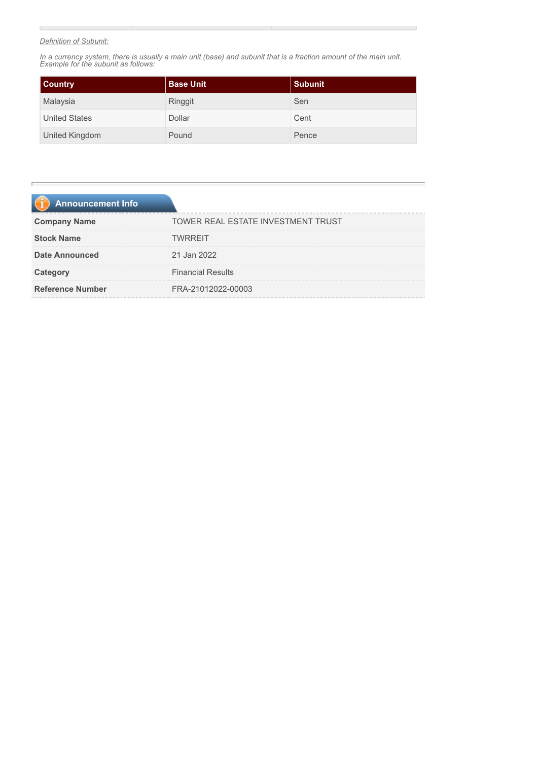#### *Definition of Subunit:*

 $\mathbb{R}^2$ 

*In a currency system, there is usually a main unit (base) and subunit that is a fraction amount of the main unit. Example for the subunit as follows:*

| <b>Country</b>       | <b>Base Unit</b> | <b>Subunit</b> |
|----------------------|------------------|----------------|
| Malaysia             | Ringgit          | Sen            |
| <b>United States</b> | Dollar           | Cent           |
| United Kingdom       | Pound            | Pence          |

| <b>Announcement Info</b> |                                    |
|--------------------------|------------------------------------|
| <b>Company Name</b>      | TOWER REAL ESTATE INVESTMENT TRUST |
| <b>Stock Name</b>        | <b>TWRRFIT</b>                     |
| <b>Date Announced</b>    | 21 Jan 2022                        |
| Category                 | <b>Financial Results</b>           |
| <b>Reference Number</b>  | FRA-21012022-00003                 |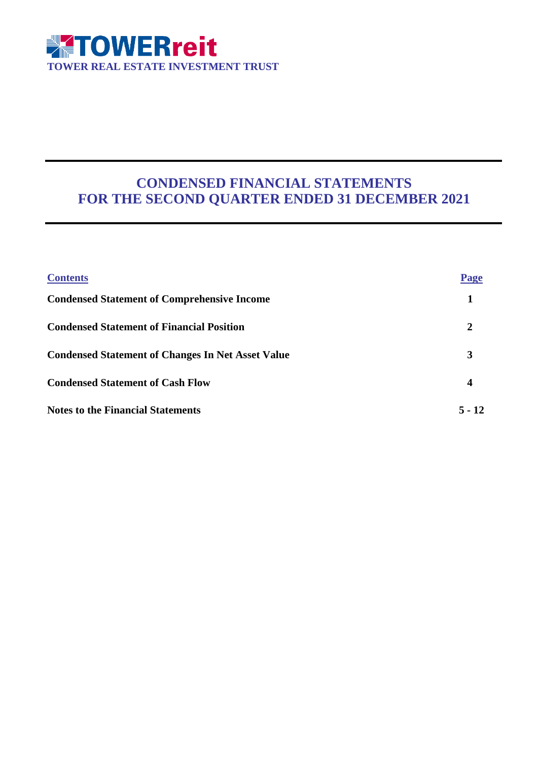

### **CONDENSED FINANCIAL STATEMENTS FOR THE SECOND QUARTER ENDED 31 DECEMBER 2021**

| <b>Contents</b>                                          | Page     |
|----------------------------------------------------------|----------|
| <b>Condensed Statement of Comprehensive Income</b>       |          |
| <b>Condensed Statement of Financial Position</b>         | 2        |
| <b>Condensed Statement of Changes In Net Asset Value</b> | 3        |
| <b>Condensed Statement of Cash Flow</b>                  | 4        |
| <b>Notes to the Financial Statements</b>                 | $5 - 12$ |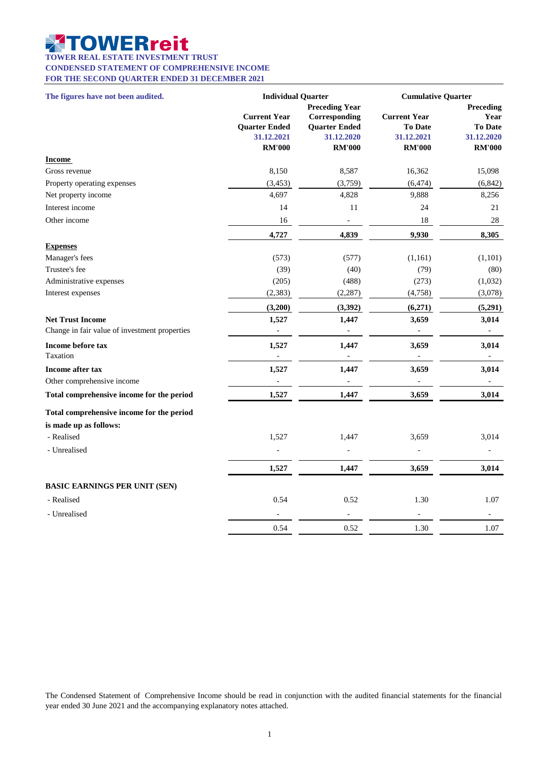#### ▓ **OWERreit**

**TOWER REAL ESTATE INVESTMENT TRUST**

**CONDENSED STATEMENT OF COMPREHENSIVE INCOME**

**FOR THE SECOND QUARTER ENDED 31 DECEMBER 2021**

| The figures have not been audited.                                       | <b>Individual Quarter</b>                                                  |                                                                                               | <b>Cumulative Quarter</b>                                     |                                                                    |
|--------------------------------------------------------------------------|----------------------------------------------------------------------------|-----------------------------------------------------------------------------------------------|---------------------------------------------------------------|--------------------------------------------------------------------|
|                                                                          | <b>Current Year</b><br><b>Quarter Ended</b><br>31.12.2021<br><b>RM'000</b> | <b>Preceding Year</b><br>Corresponding<br><b>Quarter Ended</b><br>31.12.2020<br><b>RM'000</b> | <b>Current Year</b><br>To Date<br>31.12.2021<br><b>RM'000</b> | Preceding<br>Year<br><b>To Date</b><br>31.12.2020<br><b>RM'000</b> |
| <b>Income</b>                                                            |                                                                            |                                                                                               |                                                               |                                                                    |
| Gross revenue                                                            | 8,150                                                                      | 8,587                                                                                         | 16,362                                                        | 15,098                                                             |
| Property operating expenses                                              | (3, 453)                                                                   | (3,759)                                                                                       | (6, 474)                                                      | (6, 842)                                                           |
| Net property income                                                      | 4,697                                                                      | 4,828                                                                                         | 9,888                                                         | 8,256                                                              |
| Interest income                                                          | 14                                                                         | 11                                                                                            | 24                                                            | 21                                                                 |
| Other income                                                             | 16                                                                         |                                                                                               | 18                                                            | 28                                                                 |
|                                                                          | 4,727                                                                      | 4,839                                                                                         | 9,930                                                         | 8,305                                                              |
| <b>Expenses</b>                                                          |                                                                            |                                                                                               |                                                               |                                                                    |
| Manager's fees                                                           | (573)                                                                      | (577)                                                                                         | (1,161)                                                       | (1,101)                                                            |
| Trustee's fee                                                            | (39)                                                                       | (40)                                                                                          | (79)                                                          | (80)                                                               |
| Administrative expenses                                                  | (205)                                                                      | (488)                                                                                         | (273)                                                         | (1,032)                                                            |
| Interest expenses                                                        | (2, 383)                                                                   | (2, 287)                                                                                      | (4,758)                                                       | (3,078)                                                            |
|                                                                          | (3,200)                                                                    | (3, 392)                                                                                      | (6,271)                                                       | (5,291)                                                            |
| <b>Net Trust Income</b><br>Change in fair value of investment properties | 1,527<br>$\overline{a}$                                                    | 1,447<br>$\overline{\phantom{m}}$                                                             | 3,659                                                         | 3,014<br>$\qquad \qquad -$                                         |
| Income before tax<br>Taxation                                            | 1,527<br>$\frac{1}{2}$                                                     | 1,447<br>÷,                                                                                   | 3,659<br>$\overline{\phantom{a}}$                             | 3,014<br>$\overline{\phantom{a}}$                                  |
| <b>Income after tax</b>                                                  | 1,527                                                                      | 1,447                                                                                         | 3,659                                                         | 3,014                                                              |
| Other comprehensive income                                               |                                                                            |                                                                                               |                                                               |                                                                    |
| Total comprehensive income for the period                                | 1,527                                                                      | 1,447                                                                                         | 3,659                                                         | 3,014                                                              |
| Total comprehensive income for the period                                |                                                                            |                                                                                               |                                                               |                                                                    |
| is made up as follows:                                                   |                                                                            |                                                                                               |                                                               |                                                                    |
| - Realised                                                               | 1,527                                                                      | 1,447                                                                                         | 3,659                                                         | 3,014                                                              |
| - Unrealised                                                             |                                                                            |                                                                                               |                                                               |                                                                    |
|                                                                          | 1,527                                                                      | 1,447                                                                                         | 3,659                                                         | 3,014                                                              |
| <b>BASIC EARNINGS PER UNIT (SEN)</b>                                     |                                                                            |                                                                                               |                                                               |                                                                    |
| - Realised                                                               | 0.54                                                                       | 0.52                                                                                          | 1.30                                                          | 1.07                                                               |
| - Unrealised                                                             |                                                                            |                                                                                               |                                                               |                                                                    |
|                                                                          | 0.54                                                                       | 0.52                                                                                          | 1.30                                                          | 1.07                                                               |

The Condensed Statement of Comprehensive Income should be read in conjunction with the audited financial statements for the financial year ended 30 June 2021 and the accompanying explanatory notes attached.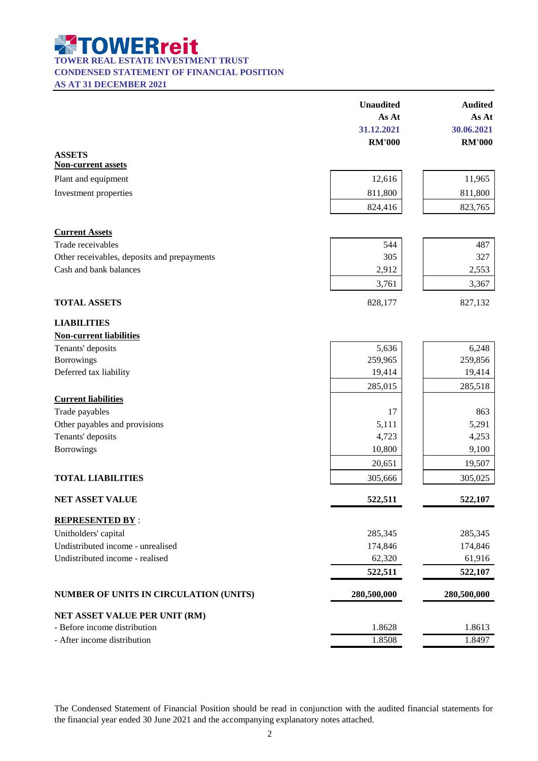**TOWER REAL ESTATE INVESTMENT TRUST** 

#### **CONDENSED STATEMENT OF FINANCIAL POSITION**

**AS AT 31 DECEMBER 2021**

|                                                               | <b>Unaudited</b> | <b>Audited</b> |
|---------------------------------------------------------------|------------------|----------------|
|                                                               | As At            | As At          |
|                                                               | 31.12.2021       | 30.06.2021     |
|                                                               | <b>RM'000</b>    | <b>RM'000</b>  |
| <b>ASSETS</b>                                                 |                  |                |
| <b>Non-current assets</b>                                     |                  |                |
| Plant and equipment                                           | 12,616           | 11,965         |
| Investment properties                                         | 811,800          | 811,800        |
|                                                               | 824,416          | 823,765        |
| <b>Current Assets</b>                                         |                  |                |
| Trade receivables                                             | 544              | 487            |
| Other receivables, deposits and prepayments                   | 305              | 327            |
| Cash and bank balances                                        | 2,912            | 2,553          |
|                                                               | 3,761            | 3,367          |
| <b>TOTAL ASSETS</b>                                           | 828,177          | 827,132        |
| <b>LIABILITIES</b>                                            |                  |                |
| <b>Non-current liabilities</b>                                |                  |                |
| Tenants' deposits                                             | 5,636            | 6,248          |
| Borrowings                                                    | 259,965          | 259,856        |
| Deferred tax liability                                        | 19,414           | 19,414         |
|                                                               | 285,015          | 285,518        |
| <b>Current liabilities</b>                                    |                  |                |
| Trade payables                                                | 17               | 863            |
| Other payables and provisions                                 | 5,111            | 5,291          |
| Tenants' deposits                                             | 4,723            | 4,253          |
| <b>Borrowings</b>                                             | 10,800           | 9,100          |
|                                                               | 20,651           | 19,507         |
| <b>TOTAL LIABILITIES</b>                                      | 305,666          | 305,025        |
| <b>NET ASSET VALUE</b>                                        | 522,511          | 522,107        |
| <b>REPRESENTED BY:</b>                                        |                  |                |
| Unitholders' capital                                          | 285,345          | 285,345        |
| Undistributed income - unrealised                             | 174,846          | 174,846        |
| Undistributed income - realised                               | 62,320           | 61,916         |
|                                                               | 522,511          | 522,107        |
| NUMBER OF UNITS IN CIRCULATION (UNITS)                        | 280,500,000      | 280,500,000    |
|                                                               |                  |                |
| NET ASSET VALUE PER UNIT (RM)<br>- Before income distribution | 1.8628           | 1.8613         |
| - After income distribution                                   | 1.8508           | 1.8497         |
|                                                               |                  |                |

The Condensed Statement of Financial Position should be read in conjunction with the audited financial statements for the financial year ended 30 June 2021 and the accompanying explanatory notes attached.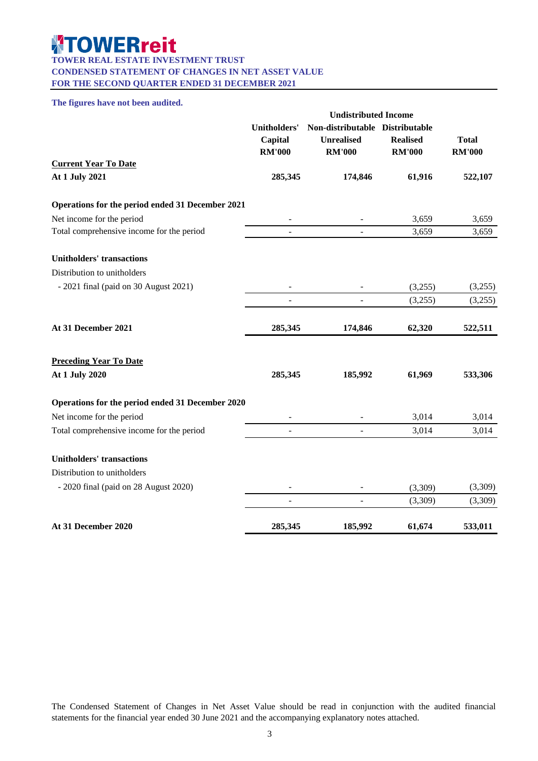#### **TOWER REAL ESTATE INVESTMENT TRUST CONDENSED STATEMENT OF CHANGES IN NET ASSET VALUE**

**FOR THE SECOND QUARTER ENDED 31 DECEMBER 2021**

#### **The figures have not been audited.**

|                                                  | <b>Undistributed Income</b>                     |                                                                       |                                  |                               |
|--------------------------------------------------|-------------------------------------------------|-----------------------------------------------------------------------|----------------------------------|-------------------------------|
|                                                  | <b>Unitholders'</b><br>Capital<br><b>RM'000</b> | Non-distributable Distributable<br><b>Unrealised</b><br><b>RM'000</b> | <b>Realised</b><br><b>RM'000</b> | <b>Total</b><br><b>RM'000</b> |
| <b>Current Year To Date</b>                      |                                                 |                                                                       |                                  |                               |
| At 1 July 2021                                   | 285,345                                         | 174,846                                                               | 61,916                           | 522,107                       |
| Operations for the period ended 31 December 2021 |                                                 |                                                                       |                                  |                               |
| Net income for the period                        |                                                 |                                                                       | 3,659                            | 3,659                         |
| Total comprehensive income for the period        | $\overline{\phantom{a}}$                        | $\overline{\phantom{a}}$                                              | 3,659                            | 3,659                         |
| <b>Unitholders' transactions</b>                 |                                                 |                                                                       |                                  |                               |
| Distribution to unitholders                      |                                                 |                                                                       |                                  |                               |
| $-2021$ final (paid on 30 August 2021)           |                                                 |                                                                       | (3,255)                          | (3,255)                       |
|                                                  |                                                 |                                                                       | (3,255)                          | (3,255)                       |
| At 31 December 2021                              | 285,345                                         | 174,846                                                               | 62,320                           | 522,511                       |
| <b>Preceding Year To Date</b>                    |                                                 |                                                                       |                                  |                               |
| At 1 July 2020                                   | 285,345                                         | 185,992                                                               | 61,969                           | 533,306                       |
| Operations for the period ended 31 December 2020 |                                                 |                                                                       |                                  |                               |
| Net income for the period                        |                                                 |                                                                       | 3,014                            | 3,014                         |
| Total comprehensive income for the period        |                                                 |                                                                       | 3,014                            | 3,014                         |
| <b>Unitholders' transactions</b>                 |                                                 |                                                                       |                                  |                               |
| Distribution to unitholders                      |                                                 |                                                                       |                                  |                               |
| - 2020 final (paid on 28 August 2020)            |                                                 |                                                                       | (3,309)                          | (3,309)                       |
|                                                  | $\overline{a}$                                  | $\overline{\phantom{a}}$                                              | (3,309)                          | (3,309)                       |
| At 31 December 2020                              | 285,345                                         | 185,992                                                               | 61,674                           | 533,011                       |

The Condensed Statement of Changes in Net Asset Value should be read in conjunction with the audited financial statements for the financial year ended 30 June 2021 and the accompanying explanatory notes attached.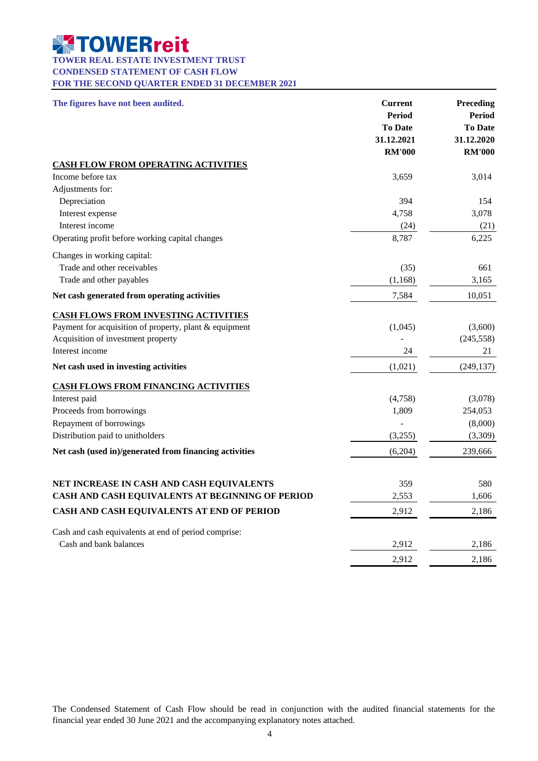#### **TOWER REAL ESTATE INVESTMENT TRUST**

**CONDENSED STATEMENT OF CASH FLOW**

**FOR THE SECOND QUARTER ENDED 31 DECEMBER 2021**

| The figures have not been audited.                     | <b>Current</b><br><b>Period</b><br><b>To Date</b><br>31.12.2021<br><b>RM'000</b> | Preceding<br><b>Period</b><br><b>To Date</b><br>31.12.2020<br><b>RM'000</b> |
|--------------------------------------------------------|----------------------------------------------------------------------------------|-----------------------------------------------------------------------------|
| <b>CASH FLOW FROM OPERATING ACTIVITIES</b>             |                                                                                  |                                                                             |
| Income before tax                                      | 3,659                                                                            | 3,014                                                                       |
| Adjustments for:                                       |                                                                                  |                                                                             |
| Depreciation                                           | 394                                                                              | 154                                                                         |
| Interest expense                                       | 4,758                                                                            | 3,078                                                                       |
| Interest income                                        | (24)                                                                             | (21)                                                                        |
| Operating profit before working capital changes        | 8,787                                                                            | 6,225                                                                       |
| Changes in working capital:                            |                                                                                  |                                                                             |
| Trade and other receivables                            | (35)                                                                             | 661                                                                         |
| Trade and other payables                               | (1,168)                                                                          | 3,165                                                                       |
| Net cash generated from operating activities           | 7,584                                                                            | 10,051                                                                      |
| <b>CASH FLOWS FROM INVESTING ACTIVITIES</b>            |                                                                                  |                                                                             |
| Payment for acquisition of property, plant & equipment | (1,045)                                                                          | (3,600)                                                                     |
| Acquisition of investment property                     |                                                                                  | (245, 558)                                                                  |
| Interest income                                        | 24                                                                               | 21                                                                          |
| Net cash used in investing activities                  | (1,021)                                                                          | (249, 137)                                                                  |
| <b>CASH FLOWS FROM FINANCING ACTIVITIES</b>            |                                                                                  |                                                                             |
| Interest paid                                          | (4,758)                                                                          | (3,078)                                                                     |
| Proceeds from borrowings                               | 1,809                                                                            | 254,053                                                                     |
| Repayment of borrowings                                |                                                                                  | (8,000)                                                                     |
| Distribution paid to unitholders                       | (3,255)                                                                          | (3,309)                                                                     |
| Net cash (used in)/generated from financing activities | (6,204)                                                                          | 239,666                                                                     |
|                                                        |                                                                                  |                                                                             |
| NET INCREASE IN CASH AND CASH EQUIVALENTS              | 359                                                                              | 580                                                                         |
| CASH AND CASH EQUIVALENTS AT BEGINNING OF PERIOD       | 2,553                                                                            | 1,606                                                                       |
| CASH AND CASH EQUIVALENTS AT END OF PERIOD             | 2,912                                                                            | 2,186                                                                       |
| Cash and cash equivalents at end of period comprise:   |                                                                                  |                                                                             |
| Cash and bank balances                                 | 2,912                                                                            | 2,186                                                                       |
|                                                        | 2,912                                                                            | 2,186                                                                       |

The Condensed Statement of Cash Flow should be read in conjunction with the audited financial statements for the financial year ended 30 June 2021 and the accompanying explanatory notes attached.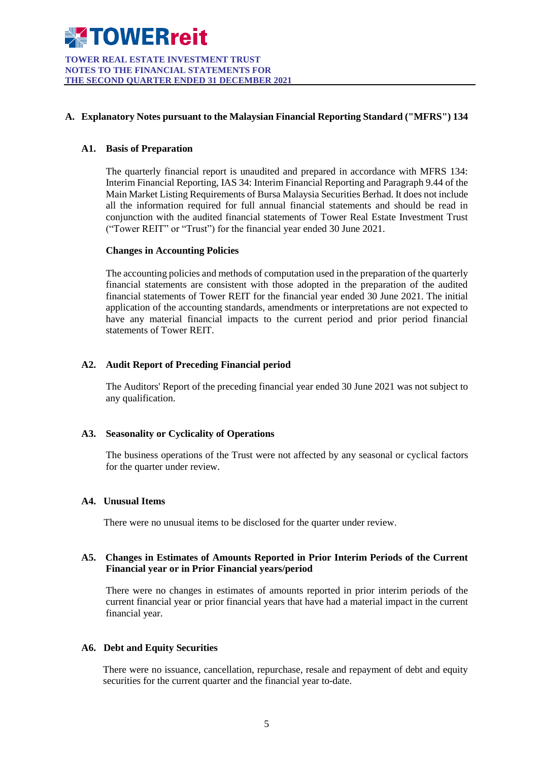

**TOWER REAL ESTATE INVESTMENT TRUST NOTES TO THE FINANCIAL STATEMENTS FOR THE SECOND QUARTER ENDED 31 DECEMBER 2021**

#### **A. Explanatory Notes pursuant to the Malaysian Financial Reporting Standard ("MFRS") 134**

#### **A1. Basis of Preparation**

The quarterly financial report is unaudited and prepared in accordance with MFRS 134: Interim Financial Reporting, IAS 34: Interim Financial Reporting and Paragraph 9.44 of the Main Market Listing Requirements of Bursa Malaysia Securities Berhad. It does not include all the information required for full annual financial statements and should be read in conjunction with the audited financial statements of Tower Real Estate Investment Trust ("Tower REIT" or "Trust") for the financial year ended 30 June 2021.

#### **Changes in Accounting Policies**

The accounting policies and methods of computation used in the preparation of the quarterly financial statements are consistent with those adopted in the preparation of the audited financial statements of Tower REIT for the financial year ended 30 June 2021. The initial application of the accounting standards, amendments or interpretations are not expected to have any material financial impacts to the current period and prior period financial statements of Tower REIT.

#### **A2. Audit Report of Preceding Financial period**

The Auditors' Report of the preceding financial year ended 30 June 2021 was not subject to any qualification.

#### **A3. Seasonality or Cyclicality of Operations**

The business operations of the Trust were not affected by any seasonal or cyclical factors for the quarter under review.

#### **A4. Unusual Items**

There were no unusual items to be disclosed for the quarter under review.

#### **A5. Changes in Estimates of Amounts Reported in Prior Interim Periods of the Current Financial year or in Prior Financial years/period**

There were no changes in estimates of amounts reported in prior interim periods of the current financial year or prior financial years that have had a material impact in the current financial year.

#### **A6. Debt and Equity Securities**

There were no issuance, cancellation, repurchase, resale and repayment of debt and equity securities for the current quarter and the financial year to-date.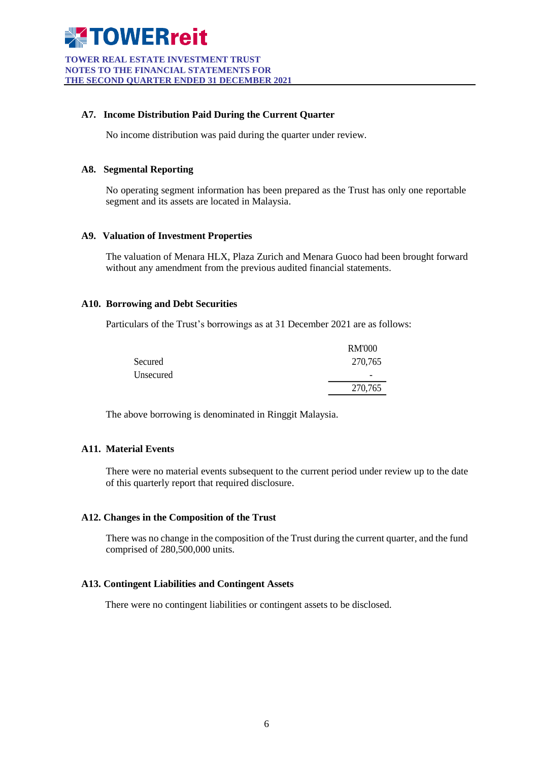

**TOWER REAL ESTATE INVESTMENT TRUST NOTES TO THE FINANCIAL STATEMENTS FOR THE SECOND QUARTER ENDED 31 DECEMBER 2021**

#### **A7. Income Distribution Paid During the Current Quarter**

No income distribution was paid during the quarter under review.

#### **A8. Segmental Reporting**

No operating segment information has been prepared as the Trust has only one reportable segment and its assets are located in Malaysia.

#### **A9. Valuation of Investment Properties**

The valuation of Menara HLX, Plaza Zurich and Menara Guoco had been brought forward without any amendment from the previous audited financial statements.

#### **A10. Borrowing and Debt Securities**

Particulars of the Trust's borrowings as at 31 December 2021 are as follows:

|           | <b>RM'000</b>                |
|-----------|------------------------------|
| Secured   | 270,765                      |
| Unsecured | $\qquad \qquad \blacksquare$ |
|           | 270,765                      |

The above borrowing is denominated in Ringgit Malaysia.

#### **A11. Material Events**

There were no material events subsequent to the current period under review up to the date of this quarterly report that required disclosure.

#### **A12. Changes in the Composition of the Trust**

There was no change in the composition of the Trust during the current quarter, and the fund comprised of 280,500,000 units.

#### **A13. Contingent Liabilities and Contingent Assets**

There were no contingent liabilities or contingent assets to be disclosed.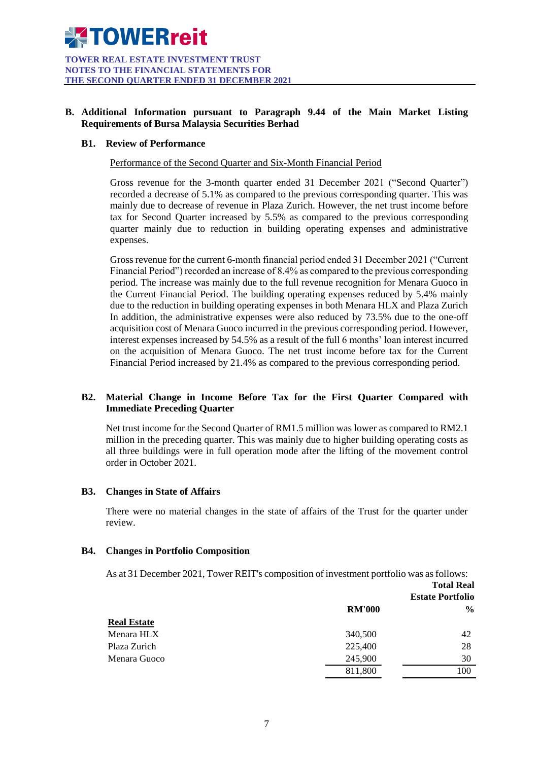#### **B. Additional Information pursuant to Paragraph 9.44 of the Main Market Listing Requirements of Bursa Malaysia Securities Berhad**

#### **B1. Review of Performance**

Performance of the Second Quarter and Six-Month Financial Period

Gross revenue for the 3-month quarter ended 31 December 2021 ("Second Quarter") recorded a decrease of 5.1% as compared to the previous corresponding quarter. This was mainly due to decrease of revenue in Plaza Zurich. However, the net trust income before tax for Second Quarter increased by 5.5% as compared to the previous corresponding quarter mainly due to reduction in building operating expenses and administrative expenses.

Gross revenue for the current 6-month financial period ended 31 December 2021 ("Current Financial Period") recorded an increase of 8.4% as compared to the previous corresponding period. The increase was mainly due to the full revenue recognition for Menara Guoco in the Current Financial Period. The building operating expenses reduced by 5.4% mainly due to the reduction in building operating expenses in both Menara HLX and Plaza Zurich In addition, the administrative expenses were also reduced by 73.5% due to the one-off acquisition cost of Menara Guoco incurred in the previous corresponding period. However, interest expenses increased by 54.5% as a result of the full 6 months' loan interest incurred on the acquisition of Menara Guoco. The net trust income before tax for the Current Financial Period increased by 21.4% as compared to the previous corresponding period.

#### **B2. Material Change in Income Before Tax for the First Quarter Compared with Immediate Preceding Quarter**

Net trust income for the Second Quarter of RM1.5 million was lower as compared to RM2.1 million in the preceding quarter. This was mainly due to higher building operating costs as all three buildings were in full operation mode after the lifting of the movement control order in October 2021.

#### **B3. Changes in State of Affairs**

There were no material changes in the state of affairs of the Trust for the quarter under review.

#### **B4. Changes in Portfolio Composition**

As at 31 December 2021, Tower REIT's composition of investment portfolio was as follows:

|                    | <b>Total Real</b><br><b>Estate Portfolio</b> |               |
|--------------------|----------------------------------------------|---------------|
|                    | <b>RM'000</b>                                | $\frac{6}{9}$ |
| <b>Real Estate</b> |                                              |               |
| Menara HLX         | 340,500                                      | 42            |
| Plaza Zurich       | 225,400                                      | 28            |
| Menara Guoco       | 245,900                                      | 30            |
|                    | 811,800                                      | 100           |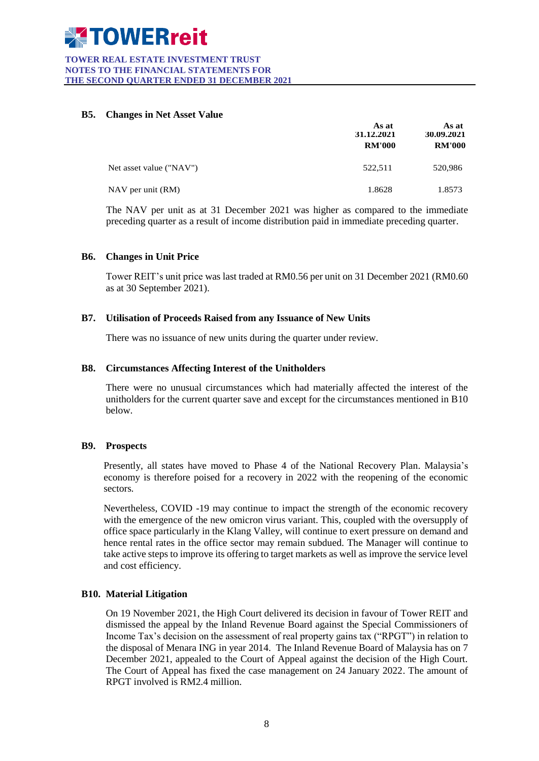#### **TOWER REAL ESTATE INVESTMENT TRUST NOTES TO THE FINANCIAL STATEMENTS FOR THE SECOND QUARTER ENDED 31 DECEMBER 2021**

#### **B5. Changes in Net Asset Value**

|                         | As at<br>31.12.2021 | As at<br>30.09.2021 |  |
|-------------------------|---------------------|---------------------|--|
|                         | <b>RM'000</b>       | <b>RM'000</b>       |  |
| Net asset value ("NAV") | 522,511             | 520,986             |  |
| NAV per unit (RM)       | 1.8628              | 1.8573              |  |

The NAV per unit as at 31 December 2021 was higher as compared to the immediate preceding quarter as a result of income distribution paid in immediate preceding quarter.

#### **B6. Changes in Unit Price**

Tower REIT's unit price was last traded at RM0.56 per unit on 31 December 2021 (RM0.60 as at 30 September 2021).

#### **B7. Utilisation of Proceeds Raised from any Issuance of New Units**

There was no issuance of new units during the quarter under review.

#### **B8. Circumstances Affecting Interest of the Unitholders**

There were no unusual circumstances which had materially affected the interest of the unitholders for the current quarter save and except for the circumstances mentioned in B10 below.

#### **B9. Prospects**

Presently, all states have moved to Phase 4 of the National Recovery Plan. Malaysia's economy is therefore poised for a recovery in 2022 with the reopening of the economic sectors.

Nevertheless, COVID -19 may continue to impact the strength of the economic recovery with the emergence of the new omicron virus variant. This, coupled with the oversupply of office space particularly in the Klang Valley, will continue to exert pressure on demand and hence rental rates in the office sector may remain subdued. The Manager will continue to take active steps to improve its offering to target markets as well as improve the service level and cost efficiency.

#### **B10. Material Litigation**

On 19 November 2021, the High Court delivered its decision in favour of Tower REIT and dismissed the appeal by the Inland Revenue Board against the Special Commissioners of Income Tax's decision on the assessment of real property gains tax ("RPGT") in relation to the disposal of Menara ING in year 2014. The Inland Revenue Board of Malaysia has on 7 December 2021, appealed to the Court of Appeal against the decision of the High Court. The Court of Appeal has fixed the case management on 24 January 2022. The amount of RPGT involved is RM2.4 million.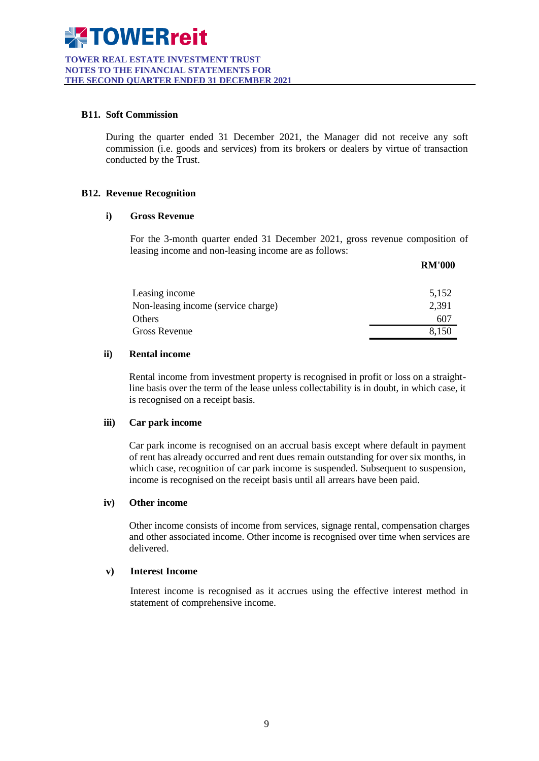#### **B11. Soft Commission**

During the quarter ended 31 December 2021, the Manager did not receive any soft commission (i.e. goods and services) from its brokers or dealers by virtue of transaction conducted by the Trust.

#### **B12. Revenue Recognition**

#### **i) Gross Revenue**

For the 3-month quarter ended 31 December 2021, gross revenue composition of leasing income and non-leasing income are as follows:

**RM**<sub>1000</sub>

|                                     | KNI VVV |
|-------------------------------------|---------|
| Leasing income                      | 5,152   |
| Non-leasing income (service charge) | 2,391   |
| Others                              | 607     |
| Gross Revenue                       | 8.150   |

#### **ii) Rental income**

Rental income from investment property is recognised in profit or loss on a straightline basis over the term of the lease unless collectability is in doubt, in which case, it is recognised on a receipt basis.

#### **iii) Car park income**

Car park income is recognised on an accrual basis except where default in payment of rent has already occurred and rent dues remain outstanding for over six months, in which case, recognition of car park income is suspended. Subsequent to suspension, income is recognised on the receipt basis until all arrears have been paid.

#### **iv) Other income**

Other income consists of income from services, signage rental, compensation charges and other associated income. Other income is recognised over time when services are delivered.

#### **v) Interest Income**

Interest income is recognised as it accrues using the effective interest method in statement of comprehensive income.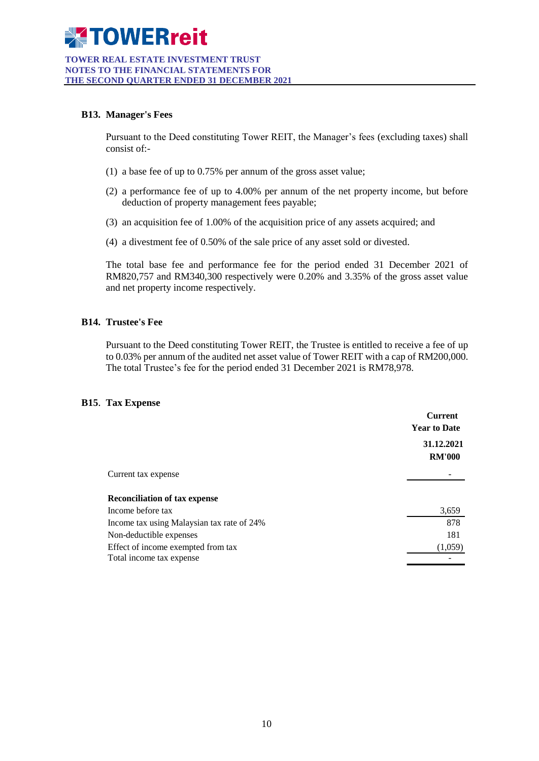#### **TOWER REAL ESTATE INVESTMENT TRUST NOTES TO THE FINANCIAL STATEMENTS FOR THE SECOND QUARTER ENDED 31 DECEMBER 2021**

#### **B13. Manager's Fees**

Pursuant to the Deed constituting Tower REIT, the Manager's fees (excluding taxes) shall consist of:-

- (1) a base fee of up to 0.75% per annum of the gross asset value;
- (2) a performance fee of up to 4.00% per annum of the net property income, but before deduction of property management fees payable;
- (3) an acquisition fee of 1.00% of the acquisition price of any assets acquired; and
- (4) a divestment fee of 0.50% of the sale price of any asset sold or divested.

The total base fee and performance fee for the period ended 31 December 2021 of RM820,757 and RM340,300 respectively were 0.20% and 3.35% of the gross asset value and net property income respectively.

#### **B14. Trustee's Fee**

Pursuant to the Deed constituting Tower REIT, the Trustee is entitled to receive a fee of up to 0.03% per annum of the audited net asset value of Tower REIT with a cap of RM200,000. The total Trustee's fee for the period ended 31 December 2021 is RM78,978.

#### **B15**. **Tax Expense**

| 31.12.2021<br><b>RM'000</b><br>Current tax expense<br><b>Reconciliation of tax expense</b><br>Income before tax<br>3,659<br>878<br>Income tax using Malaysian tax rate of 24%<br>181<br>Non-deductible expenses<br>Effect of income exempted from tax<br>(1,059)<br>Total income tax expense | <b>Current</b><br><b>Year to Date</b> |  |
|----------------------------------------------------------------------------------------------------------------------------------------------------------------------------------------------------------------------------------------------------------------------------------------------|---------------------------------------|--|
|                                                                                                                                                                                                                                                                                              |                                       |  |
|                                                                                                                                                                                                                                                                                              |                                       |  |
|                                                                                                                                                                                                                                                                                              |                                       |  |
|                                                                                                                                                                                                                                                                                              |                                       |  |
|                                                                                                                                                                                                                                                                                              |                                       |  |
|                                                                                                                                                                                                                                                                                              |                                       |  |
|                                                                                                                                                                                                                                                                                              |                                       |  |
|                                                                                                                                                                                                                                                                                              |                                       |  |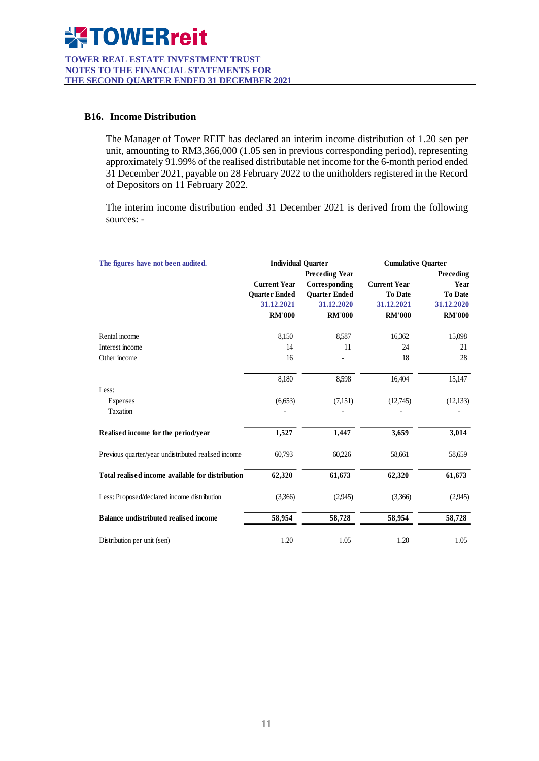

#### **B16. Income Distribution**

The Manager of Tower REIT has declared an interim income distribution of 1.20 sen per unit, amounting to RM3,366,000 (1.05 sen in previous corresponding period), representing approximately 91.99% of the realised distributable net income for the 6-month period ended 31 December 2021, payable on 28 February 2022 to the unitholders registered in the Record of Depositors on 11 February 2022.

The interim income distribution ended 31 December 2021 is derived from the following sources: -

| The figures have not been audited.                  | <b>Individual Ouarter</b><br><b>Preceding Year</b> |                      | <b>Cumulative Quarter</b> |                  |
|-----------------------------------------------------|----------------------------------------------------|----------------------|---------------------------|------------------|
|                                                     |                                                    |                      |                           | <b>Preceding</b> |
|                                                     | <b>Current Year</b>                                | Corresponding        | <b>Current Year</b>       | Year             |
|                                                     | <b>Ouarter Ended</b>                               | <b>Quarter Ended</b> | To Date                   | <b>To Date</b>   |
|                                                     | 31.12.2021                                         | 31.12.2020           | 31.12.2021                | 31.12.2020       |
|                                                     | <b>RM'000</b>                                      | <b>RM'000</b>        | <b>RM'000</b>             | <b>RM'000</b>    |
| Rental income                                       | 8,150                                              | 8,587                | 16,362                    | 15,098           |
| Interest income                                     | 14                                                 | 11                   | 24                        | 21               |
| Other income                                        | 16                                                 |                      | 18                        | 28               |
|                                                     | 8,180                                              | 8,598                | 16,404                    | 15,147           |
| Less:                                               |                                                    |                      |                           |                  |
| Expenses                                            | (6,653)                                            | (7,151)              | (12,745)                  | (12, 133)        |
| Taxation                                            |                                                    |                      |                           |                  |
| Realised income for the period/year                 | 1,527                                              | 1,447                | 3,659                     | 3,014            |
| Previous quarter/year undistributed realised income | 60,793                                             | 60,226               | 58,661                    | 58,659           |
| Total realised income available for distribution    | 62,320                                             | 61,673               | 62,320                    | 61,673           |
| Less: Proposed/declared income distribution         | (3,366)                                            | (2,945)              | (3,366)                   | (2,945)          |
| <b>Balance undistributed realised income</b>        | 58,954                                             | 58,728               | 58,954                    | 58,728           |
| Distribution per unit (sen)                         | 1.20                                               | 1.05                 | 1.20                      | 1.05             |